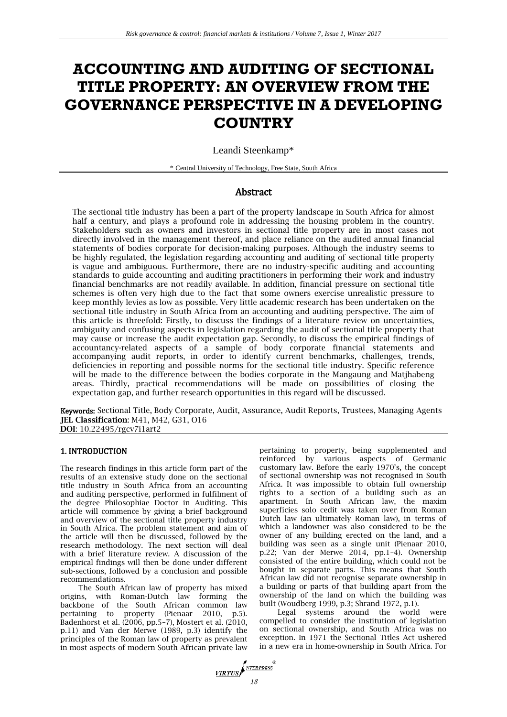# **ACCOUNTING AND AUDITING OF SECTIONAL TITLE PROPERTY: AN OVERVIEW FROM THE GOVERNANCE PERSPECTIVE IN A DEVELOPING COUNTRY**

Leandi Steenkamp\*

\* Central University of Technology, Free State, South Africa

## Abstract

The sectional title industry has been a part of the property landscape in South Africa for almost half a century, and plays a profound role in addressing the housing problem in the country. Stakeholders such as owners and investors in sectional title property are in most cases not directly involved in the management thereof, and place reliance on the audited annual financial statements of bodies corporate for decision-making purposes. Although the industry seems to be highly regulated, the legislation regarding accounting and auditing of sectional title property is vague and ambiguous. Furthermore, there are no industry-specific auditing and accounting standards to guide accounting and auditing practitioners in performing their work and industry financial benchmarks are not readily available. In addition, financial pressure on sectional title schemes is often very high due to the fact that some owners exercise unrealistic pressure to keep monthly levies as low as possible. Very little academic research has been undertaken on the sectional title industry in South Africa from an accounting and auditing perspective. The aim of this article is threefold: Firstly, to discuss the findings of a literature review on uncertainties, ambiguity and confusing aspects in legislation regarding the audit of sectional title property that may cause or increase the audit expectation gap. Secondly, to discuss the empirical findings of accountancy-related aspects of a sample of body corporate financial statements and accompanying audit reports, in order to identify current benchmarks, challenges, trends, deficiencies in reporting and possible norms for the sectional title industry. Specific reference will be made to the difference between the bodies corporate in the Mangaung and Matjhabeng areas. Thirdly, practical recommendations will be made on possibilities of closing the expectation gap, and further research opportunities in this regard will be discussed.

Keywords: Sectional Title, Body Corporate, Audit, Assurance, Audit Reports, Trustees, Managing Agents **JEL Classification**: M41, M42, G31, O16 **DOI**: 10.22495/rgcv7i1art2

#### 1. INTRODUCTION

The research findings in this article form part of the results of an extensive study done on the sectional title industry in South Africa from an accounting and auditing perspective, performed in fulfilment of the degree Philosophiae Doctor in Auditing. This article will commence by giving a brief background and overview of the sectional title property industry in South Africa. The problem statement and aim of the article will then be discussed, followed by the research methodology. The next section will deal with a brief literature review. A discussion of the empirical findings will then be done under different sub-sections, followed by a conclusion and possible recommendations.

The South African law of property has mixed origins, with Roman-Dutch law forming the backbone of the South African common law pertaining to property (Pienaar 2010, p.5). Badenhorst et al. (2006, pp.5–7), Mostert et al. (2010, p.11) and Van der Merwe (1989, p.3) identify the principles of the Roman law of property as prevalent in most aspects of modern South African private law pertaining to property, being supplemented and reinforced by various aspects of Germanic customary law. Before the early 1970's, the concept of sectional ownership was not recognised in South Africa. It was impossible to obtain full ownership rights to a section of a building such as an apartment. In South African law, the maxim superficies solo cedit was taken over from Roman Dutch law (an ultimately Roman law), in terms of which a landowner was also considered to be the owner of any building erected on the land, and a building was seen as a single unit (Pienaar 2010, p.22; Van der Merwe 2014, pp.1–4). Ownership consisted of the entire building, which could not be bought in separate parts. This means that South African law did not recognise separate ownership in a building or parts of that building apart from the ownership of the land on which the building was built (Woudberg 1999, p.3; Shrand 1972, p.1).

Legal systems around the world were compelled to consider the institution of legislation on sectional ownership, and South Africa was no exception. In 1971 the Sectional Titles Act ushered in a new era in home-ownership in South Africa. For

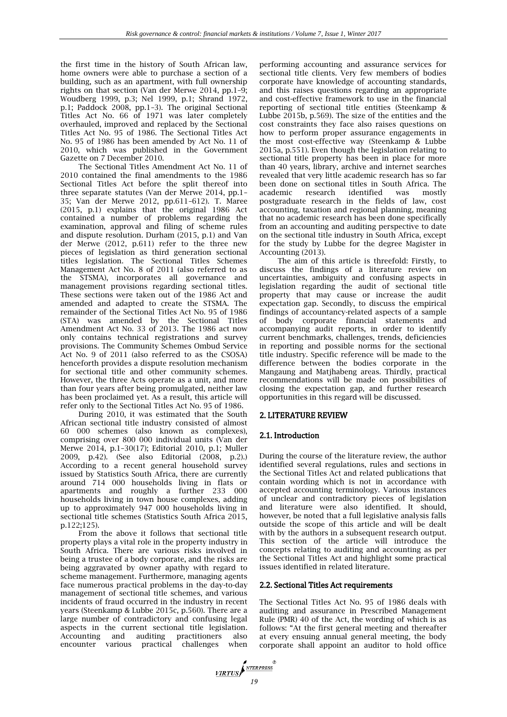the first time in the history of South African law, home owners were able to purchase a section of a building, such as an apartment, with full ownership rights on that section (Van der Merwe 2014, pp.1–9; Woudberg 1999, p.3; Nel 1999, p.1; Shrand 1972, p.1; Paddock 2008, pp.1–3). The original Sectional Titles Act No. 66 of 1971 was later completely overhauled, improved and replaced by the Sectional Titles Act No. 95 of 1986. The Sectional Titles Act No. 95 of 1986 has been amended by Act No. 11 of 2010, which was published in the Government Gazette on 7 December 2010.

The Sectional Titles Amendment Act No. 11 of 2010 contained the final amendments to the 1986 Sectional Titles Act before the split thereof into three separate statutes (Van der Merwe 2014, pp.1– 35; Van der Merwe 2012, pp.611–612). T. Maree (2015, p.1) explains that the original 1986 Act contained a number of problems regarding the examination, approval and filing of scheme rules and dispute resolution. Durham (2015, p.1) and Van der Merwe (2012, p.611) refer to the three new pieces of legislation as third generation sectional titles legislation. The Sectional Titles Schemes Management Act No. 8 of 2011 (also referred to as the STSMA), incorporates all governance and management provisions regarding sectional titles. These sections were taken out of the 1986 Act and amended and adapted to create the STSMA. The remainder of the Sectional Titles Act No. 95 of 1986 (STA) was amended by the Sectional Titles Amendment Act No. 33 of 2013. The 1986 act now only contains technical registrations and survey provisions. The Community Schemes Ombud Service Act No. 9 of 2011 (also referred to as the CSOSA) henceforth provides a dispute resolution mechanism for sectional title and other community schemes. However, the three Acts operate as a unit, and more than four years after being promulgated, neither law has been proclaimed yet. As a result, this article will refer only to the Sectional Titles Act No. 95 of 1986.

During 2010, it was estimated that the South African sectional title industry consisted of almost 60 000 schemes (also known as complexes), comprising over 800 000 individual units (Van der Merwe 2014, p.1–30(17); Editorial 2010, p.1; Muller 2009, p.42). (See also Editorial (2008, p.2).) According to a recent general household survey issued by Statistics South Africa, there are currently around 714 000 households living in flats or apartments and roughly a further 233 000 households living in town house complexes, adding up to approximately 947 000 households living in sectional title schemes (Statistics South Africa 2015, p.122;125).

From the above it follows that sectional title property plays a vital role in the property industry in South Africa. There are various risks involved in being a trustee of a body corporate, and the risks are being aggravated by owner apathy with regard to scheme management. Furthermore, managing agents face numerous practical problems in the day-to-day management of sectional title schemes, and various incidents of fraud occurred in the industry in recent years (Steenkamp & Lubbe 2015c, p.560). There are a large number of contradictory and confusing legal aspects in the current sectional title legislation. Accounting and auditing practitioners also encounter various practical challenges when performing accounting and assurance services for sectional title clients. Very few members of bodies corporate have knowledge of accounting standards, and this raises questions regarding an appropriate and cost-effective framework to use in the financial reporting of sectional title entities (Steenkamp & Lubbe 2015b, p.569). The size of the entities and the cost constraints they face also raises questions on how to perform proper assurance engagements in the most cost-effective way (Steenkamp & Lubbe 2015a, p.551). Even though the legislation relating to sectional title property has been in place for more than 40 years, library, archive and internet searches revealed that very little academic research has so far been done on sectional titles in South Africa. The academic research identified was mostly postgraduate research in the fields of law, cost accounting, taxation and regional planning, meaning that no academic research has been done specifically from an accounting and auditing perspective to date on the sectional title industry in South Africa, except for the study by Lubbe for the degree Magister in Accounting (2013).

The aim of this article is threefold: Firstly, to discuss the findings of a literature review on uncertainties, ambiguity and confusing aspects in legislation regarding the audit of sectional title property that may cause or increase the audit expectation gap. Secondly, to discuss the empirical findings of accountancy-related aspects of a sample of body corporate financial statements and accompanying audit reports, in order to identify current benchmarks, challenges, trends, deficiencies in reporting and possible norms for the sectional title industry. Specific reference will be made to the difference between the bodies corporate in the Mangaung and Matjhabeng areas. Thirdly, practical recommendations will be made on possibilities of closing the expectation gap, and further research opportunities in this regard will be discussed.

## 2. LITERATURE REVIEW

## 2.1. Introduction

During the course of the literature review, the author identified several regulations, rules and sections in the Sectional Titles Act and related publications that contain wording which is not in accordance with accepted accounting terminology. Various instances of unclear and contradictory pieces of legislation and literature were also identified. It should, however, be noted that a full legislative analysis falls outside the scope of this article and will be dealt with by the authors in a subsequent research output. This section of the article will introduce the concepts relating to auditing and accounting as per the Sectional Titles Act and highlight some practical issues identified in related literature.

## 2.2. Sectional Titles Act requirements

The Sectional Titles Act No. 95 of 1986 deals with auditing and assurance in Prescribed Management Rule (PMR) 40 of the Act, the wording of which is as follows: "At the first general meeting and thereafter at every ensuing annual general meeting, the body corporate shall appoint an auditor to hold office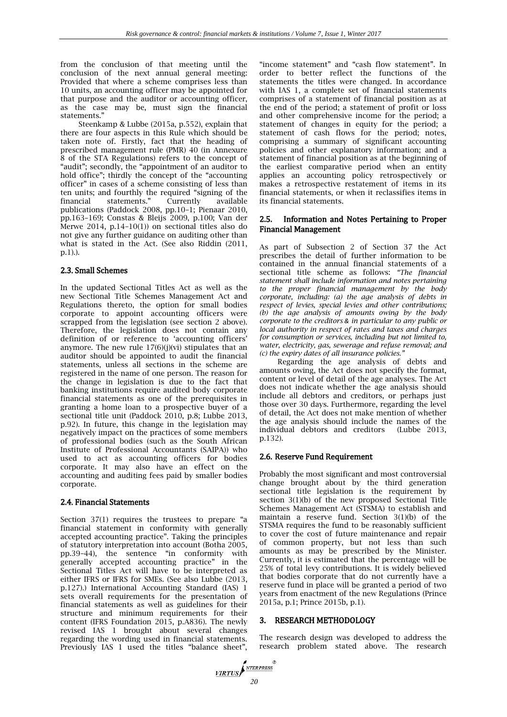from the conclusion of that meeting until the conclusion of the next annual general meeting: Provided that where a scheme comprises less than 10 units, an accounting officer may be appointed for that purpose and the auditor or accounting officer, as the case may be, must sign the financial statements."

Steenkamp & Lubbe (2015a, p.552), explain that there are four aspects in this Rule which should be taken note of. Firstly, fact that the heading of prescribed management rule (PMR) 40 (in Annexure 8 of the STA Regulations) refers to the concept of "audit"; secondly, the "appointment of an auditor to hold office"; thirdly the concept of the "accounting officer" in cases of a scheme consisting of less than ten units; and fourthly the required "signing of the financial statements." Currently available publications (Paddock 2008, pp.10–1; Pienaar 2010, pp.163–169; Constas & Bleijs 2009, p.100; Van der Merwe 2014, p.14–10(1)) on sectional titles also do not give any further guidance on auditing other than what is stated in the Act. (See also Riddin (2011, p.1).).

#### 2.3. Small Schemes

In the updated Sectional Titles Act as well as the new Sectional Title Schemes Management Act and Regulations thereto, the option for small bodies corporate to appoint accounting officers were scrapped from the legislation (see section 2 above). Therefore, the legislation does not contain any definition of or reference to 'accounting officers' anymore. The new rule  $17(6)(j)(vi)$  stipulates that an auditor should be appointed to audit the financial statements, unless all sections in the scheme are registered in the name of one person. The reason for the change in legislation is due to the fact that banking institutions require audited body corporate financial statements as one of the prerequisites in granting a home loan to a prospective buyer of a sectional title unit (Paddock 2010, p.8; Lubbe 2013, p.92). In future, this change in the legislation may negatively impact on the practices of some members of professional bodies (such as the South African Institute of Professional Accountants (SAIPA)) who used to act as accounting officers for bodies corporate. It may also have an effect on the accounting and auditing fees paid by smaller bodies corporate.

#### 2.4. Financial Statements

Section 37(1) requires the trustees to prepare "a financial statement in conformity with generally accepted accounting practice". Taking the principles of statutory interpretation into account (Botha 2005, pp.39–44), the sentence "in conformity with generally accepted accounting practice" in the Sectional Titles Act will have to be interpreted as either IFRS or IFRS for SMEs. (See also Lubbe (2013, p.127).) International Accounting Standard (IAS) 1 sets overall requirements for the presentation of financial statements as well as guidelines for their structure and minimum requirements for their content (IFRS Foundation 2015, p.A836). The newly revised IAS 1 brought about several changes regarding the wording used in financial statements. Previously IAS 1 used the titles "balance sheet",

"income statement" and "cash flow statement". In order to better reflect the functions of the statements the titles were changed. In accordance with IAS 1, a complete set of financial statements comprises of a statement of financial position as at the end of the period; a statement of profit or loss and other comprehensive income for the period; a statement of changes in equity for the period; a statement of cash flows for the period; notes, comprising a summary of significant accounting policies and other explanatory information; and a statement of financial position as at the beginning of the earliest comparative period when an entity applies an accounting policy retrospectively or makes a retrospective restatement of items in its financial statements, or when it reclassifies items in its financial statements.

## 2.5. Information and Notes Pertaining to Proper Financial Management

As part of Subsection 2 of Section 37 the Act prescribes the detail of further information to be contained in the annual financial statements of a sectional title scheme as follows: *"The financial statement shall include information and notes pertaining to the proper financial management by the body corporate, including: (a) the age analysis of debts in respect of levies, special levies and other contributions; (b) the age analysis of amounts owing by the body corporate to the creditors & in particular to any public or local authority in respect of rates and taxes and charges for consumption or services, including but not limited to, water, electricity, gas, sewerage and refuse removal; and (c) the expiry dates of all insurance policies."*

Regarding the age analysis of debts and amounts owing, the Act does not specify the format, content or level of detail of the age analyses. The Act does not indicate whether the age analysis should include all debtors and creditors, or perhaps just those over 30 days. Furthermore, regarding the level of detail, the Act does not make mention of whether the age analysis should include the names of the individual debtors and creditors (Lubbe 2013, p.132).

## 2.6. Reserve Fund Requirement

Probably the most significant and most controversial change brought about by the third generation sectional title legislation is the requirement by section 3(1)(b) of the new proposed Sectional Title Schemes Management Act (STSMA) to establish and maintain a reserve fund. Section 3(1)(b) of the STSMA requires the fund to be reasonably sufficient to cover the cost of future maintenance and repair of common property, but not less than such amounts as may be prescribed by the Minister. Currently, it is estimated that the percentage will be 25% of total levy contributions. It is widely believed that bodies corporate that do not currently have a reserve fund in place will be granted a period of two years from enactment of the new Regulations (Prince 2015a, p.1; Prince 2015b, p.1).

#### 3. RESEARCH METHODOLOGY

The research design was developed to address the research problem stated above. The research

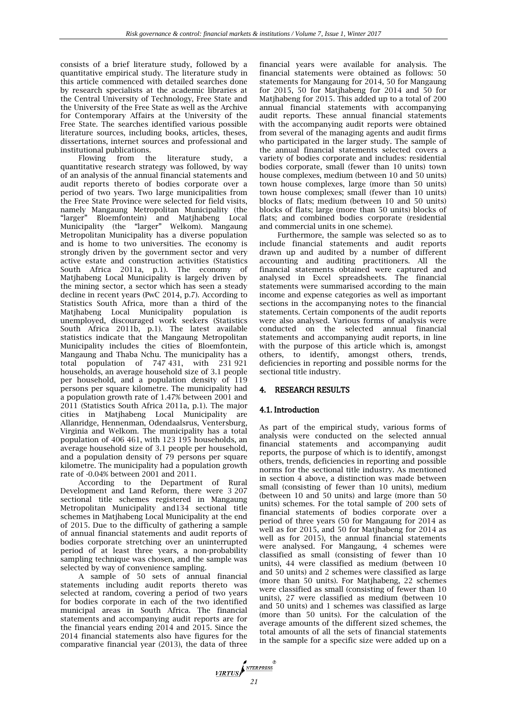consists of a brief literature study, followed by a quantitative empirical study. The literature study in this article commenced with detailed searches done by research specialists at the academic libraries at the Central University of Technology, Free State and the University of the Free State as well as the Archive for Contemporary Affairs at the University of the Free State. The searches identified various possible literature sources, including books, articles, theses, dissertations, internet sources and professional and institutional publications.

Flowing from the literature study, a quantitative research strategy was followed, by way of an analysis of the annual financial statements and audit reports thereto of bodies corporate over a period of two years. Two large municipalities from the Free State Province were selected for field visits, namely Mangaung Metropolitan Municipality (the "larger" Bloemfontein) and Matjhabeng Local Municipality (the "larger" Welkom). Mangaung Metropolitan Municipality has a diverse population and is home to two universities. The economy is strongly driven by the government sector and very active estate and construction activities (Statistics South Africa 2011a, p.1). The economy of Matjhabeng Local Municipality is largely driven by the mining sector, a sector which has seen a steady decline in recent years (PwC 2014, p.7). According to Statistics South Africa, more than a third of the Matjhabeng Local Municipality population is unemployed, discouraged work seekers (Statistics South Africa 2011b, p.1). The latest available statistics indicate that the Mangaung Metropolitan Municipality includes the cities of Bloemfontein, Mangaung and Thaba Nchu. The municipality has a total population of 747 431, with 231 921 households, an average household size of 3.1 people per household, and a population density of 119 persons per square kilometre. The municipality had a population growth rate of 1.47% between 2001 and 2011 (Statistics South Africa 2011a, p.1). The major cities in Matjhabeng Local Municipality are Allanridge, Hennenman, Odendaalsrus, Ventersburg, Virginia and Welkom. The municipality has a total population of 406 461, with 123 195 households, an average household size of 3.1 people per household, and a population density of 79 persons per square kilometre. The municipality had a population growth rate of -0.04% between 2001 and 2011.

According to the Department of Rural Development and Land Reform, there were 3 207 sectional title schemes registered in Mangaung Metropolitan Municipality and134 sectional title schemes in Matjhabeng Local Municipality at the end of 2015. Due to the difficulty of gathering a sample of annual financial statements and audit reports of bodies corporate stretching over an uninterrupted period of at least three years, a non-probability sampling technique was chosen, and the sample was selected by way of convenience sampling.

A sample of 50 sets of annual financial statements including audit reports thereto was selected at random, covering a period of two years for bodies corporate in each of the two identified municipal areas in South Africa. The financial statements and accompanying audit reports are for the financial years ending 2014 and 2015. Since the 2014 financial statements also have figures for the comparative financial year (2013), the data of three financial years were available for analysis. The financial statements were obtained as follows: 50 statements for Mangaung for 2014, 50 for Mangaung for 2015, 50 for Matjhabeng for 2014 and 50 for Matjhabeng for 2015. This added up to a total of 200 annual financial statements with accompanying audit reports. These annual financial statements with the accompanying audit reports were obtained from several of the managing agents and audit firms who participated in the larger study. The sample of the annual financial statements selected covers a variety of bodies corporate and includes: residential bodies corporate, small (fewer than 10 units) town house complexes, medium (between 10 and 50 units) town house complexes, large (more than 50 units) town house complexes; small (fewer than 10 units) blocks of flats; medium (between 10 and 50 units) blocks of flats; large (more than 50 units) blocks of flats; and combined bodies corporate (residential and commercial units in one scheme).

Furthermore, the sample was selected so as to include financial statements and audit reports drawn up and audited by a number of different accounting and auditing practitioners. All the financial statements obtained were captured and analysed in Excel spreadsheets. The financial statements were summarised according to the main income and expense categories as well as important sections in the accompanying notes to the financial statements. Certain components of the audit reports were also analysed. Various forms of analysis were conducted on the selected annual financial statements and accompanying audit reports, in line with the purpose of this article which is, amongst others, to identify, amongst others, trends, deficiencies in reporting and possible norms for the sectional title industry.

## 4. RESEARCH RESULTS

## 4.1. Introduction

As part of the empirical study, various forms of analysis were conducted on the selected annual financial statements and accompanying audit reports, the purpose of which is to identify, amongst others, trends, deficiencies in reporting and possible norms for the sectional title industry. As mentioned in section 4 above, a distinction was made between small (consisting of fewer than 10 units), medium (between 10 and 50 units) and large (more than 50 units) schemes. For the total sample of 200 sets of financial statements of bodies corporate over a period of three years (50 for Mangaung for 2014 as well as for 2015, and 50 for Matjhabeng for 2014 as well as for 2015), the annual financial statements were analysed. For Mangaung, 4 schemes were classified as small (consisting of fewer than 10 units), 44 were classified as medium (between 10 and 50 units) and 2 schemes were classified as large (more than 50 units). For Matjhabeng, 22 schemes were classified as small (consisting of fewer than 10 units), 27 were classified as medium (between 10 and 50 units) and 1 schemes was classified as large (more than 50 units). For the calculation of the average amounts of the different sized schemes, the total amounts of all the sets of financial statements in the sample for a specific size were added up on a

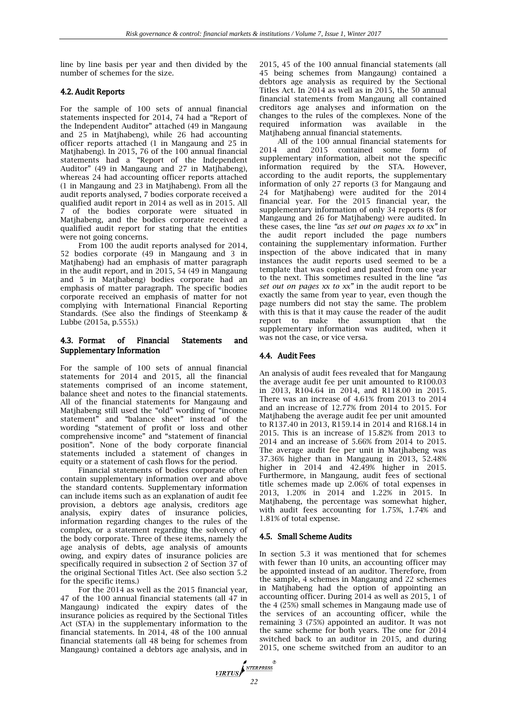line by line basis per year and then divided by the number of schemes for the size.

## 4.2. Audit Reports

For the sample of 100 sets of annual financial statements inspected for 2014, 74 had a "Report of the Independent Auditor" attached (49 in Mangaung and 25 in Matjhabeng), while 26 had accounting officer reports attached (1 in Mangaung and 25 in Matjhabeng). In 2015, 76 of the 100 annual financial statements had a "Report of the Independent Auditor" (49 in Mangaung and 27 in Matjhabeng), whereas 24 had accounting officer reports attached (1 in Mangaung and 23 in Matjhabeng). From all the audit reports analysed, 7 bodies corporate received a qualified audit report in 2014 as well as in 2015. All 7 of the bodies corporate were situated in Matjhabeng, and the bodies corporate received a qualified audit report for stating that the entities were not going concerns.

From 100 the audit reports analysed for 2014, 52 bodies corporate (49 in Mangaung and 3 in Matjhabeng) had an emphasis of matter paragraph in the audit report, and in 2015, 54 (49 in Mangaung and 5 in Matjhabeng) bodies corporate had an emphasis of matter paragraph. The specific bodies corporate received an emphasis of matter for not complying with International Financial Reporting Standards. (See also the findings of Steenkamp & Lubbe (2015a, p.555).)

#### 4.3. Format of Financial Statements and Supplementary Information

For the sample of 100 sets of annual financial statements for 2014 and 2015, all the financial statements comprised of an income statement, balance sheet and notes to the financial statements. All of the financial statements for Mangaung and Matjhabeng still used the "old" wording of "income statement" and "balance sheet" instead of the wording "statement of profit or loss and other comprehensive income" and "statement of financial position". None of the body corporate financial statements included a statement of changes in equity or a statement of cash flows for the period.

Financial statements of bodies corporate often contain supplementary information over and above the standard contents. Supplementary information can include items such as an explanation of audit fee provision, a debtors age analysis, creditors age analysis, expiry dates of insurance policies, information regarding changes to the rules of the complex, or a statement regarding the solvency of the body corporate. Three of these items, namely the age analysis of debts, age analysis of amounts owing, and expiry dates of insurance policies are specifically required in subsection 2 of Section 37 of the original Sectional Titles Act. (See also section 5.2 for the specific items.)

For the 2014 as well as the 2015 financial year, 47 of the 100 annual financial statements (all 47 in Mangaung) indicated the expiry dates of the insurance policies as required by the Sectional Titles Act (STA) in the supplementary information to the financial statements. In 2014, 48 of the 100 annual financial statements (all 48 being for schemes from Mangaung) contained a debtors age analysis, and in 2015, 45 of the 100 annual financial statements (all 45 being schemes from Mangaung) contained a debtors age analysis as required by the Sectional Titles Act. In 2014 as well as in 2015, the 50 annual financial statements from Mangaung all contained creditors age analyses and information on the changes to the rules of the complexes. None of the required information was available in the Matjhabeng annual financial statements.

All of the 100 annual financial statements for 2014 and 2015 contained some form of supplementary information, albeit not the specific information required by the STA. However, according to the audit reports, the supplementary information of only 27 reports (3 for Mangaung and 24 for Matjhabeng) were audited for the 2014 financial year. For the 2015 financial year, the supplementary information of only 34 reports (8 for Mangaung and 26 for Matjhabeng) were audited. In these cases, the line *"as set out on pages xx to xx"* in the audit report included the page numbers containing the supplementary information. Further inspection of the above indicated that in many instances the audit reports used seemed to be a template that was copied and pasted from one year to the next. This sometimes resulted in the line *"as set out on pages xx to xx"* in the audit report to be exactly the same from year to year, even though the page numbers did not stay the same. The problem with this is that it may cause the reader of the audit report to make the assumption that the supplementary information was audited, when it was not the case, or vice versa.

## 4.4. Audit Fees

An analysis of audit fees revealed that for Mangaung the average audit fee per unit amounted to R100.03 in 2013, R104.64 in 2014, and R118.00 in 2015. There was an increase of 4.61% from 2013 to 2014 and an increase of 12.77% from 2014 to 2015. For Matihabeng the average audit fee per unit amounted to R137.40 in 2013, R159.14 in 2014 and R168.14 in 2015. This is an increase of 15.82% from 2013 to 2014 and an increase of 5.66% from 2014 to 2015. The average audit fee per unit in Matjhabeng was 37.36% higher than in Mangaung in 2013, 52.48% higher in 2014 and 42.49% higher in 2015. Furthermore, in Mangaung, audit fees of sectional title schemes made up 2.06% of total expenses in 2013, 1.20% in 2014 and 1.22% in 2015. In Matjhabeng, the percentage was somewhat higher, with audit fees accounting for 1.75%, 1.74% and 1.81% of total expense.

## 4.5. Small Scheme Audits

In section 5.3 it was mentioned that for schemes with fewer than 10 units, an accounting officer may be appointed instead of an auditor. Therefore, from the sample, 4 schemes in Mangaung and 22 schemes in Matjhabeng had the option of appointing an accounting officer. During 2014 as well as 2015, 1 of the 4 (25%) small schemes in Mangaung made use of the services of an accounting officer, while the remaining 3 (75%) appointed an auditor. It was not the same scheme for both years. The one for 2014 switched back to an auditor in 2015, and during 2015, one scheme switched from an auditor to an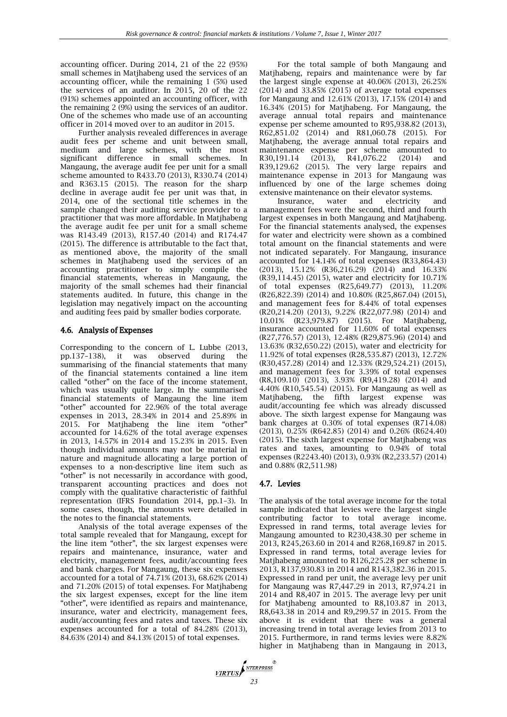accounting officer. During 2014, 21 of the 22 (95%) small schemes in Matjhabeng used the services of an accounting officer, while the remaining 1 (5%) used the services of an auditor. In 2015, 20 of the 22 (91%) schemes appointed an accounting officer, with the remaining 2 (9%) using the services of an auditor. One of the schemes who made use of an accounting officer in 2014 moved over to an auditor in 2015.

Further analysis revealed differences in average audit fees per scheme and unit between small, medium and large schemes, with the most significant difference in small schemes. In Mangaung, the average audit fee per unit for a small scheme amounted to R433.70 (2013), R330.74 (2014) and R363.15 (2015). The reason for the sharp decline in average audit fee per unit was that, in 2014, one of the sectional title schemes in the sample changed their auditing service provider to a practitioner that was more affordable. In Matjhabeng the average audit fee per unit for a small scheme was R143.49 (2013), R157.40 (2014) and R174.47 (2015). The difference is attributable to the fact that, as mentioned above, the majority of the small schemes in Matjhabeng used the services of an accounting practitioner to simply compile the financial statements, whereas in Mangaung, the majority of the small schemes had their financial statements audited. In future, this change in the legislation may negatively impact on the accounting and auditing fees paid by smaller bodies corporate.

## 4.6. Analysis of Expenses

Corresponding to the concern of L. Lubbe (2013, pp.137–138), it was observed during the summarising of the financial statements that many of the financial statements contained a line item called "other" on the face of the income statement, which was usually quite large. In the summarised financial statements of Mangaung the line item "other" accounted for 22.96% of the total average expenses in 2013, 28.34% in 2014 and 25.89% in 2015. For Matjhabeng the line item "other" accounted for 14.62% of the total average expenses in 2013, 14.57% in 2014 and 15.23% in 2015. Even though individual amounts may not be material in nature and magnitude allocating a large portion of expenses to a non-descriptive line item such as "other" is not necessarily in accordance with good, transparent accounting practices and does not comply with the qualitative characteristic of faithful representation (IFRS Foundation 2014, pp.1–3). In some cases, though, the amounts were detailed in the notes to the financial statements.

Analysis of the total average expenses of the total sample revealed that for Mangaung, except for the line item "other", the six largest expenses were repairs and maintenance, insurance, water and electricity, management fees, audit/accounting fees and bank charges. For Mangaung, these six expenses accounted for a total of 74.71% (2013), 68.62% (2014) and 71.20% (2015) of total expenses. For Matjhabeng the six largest expenses, except for the line item "other", were identified as repairs and maintenance, insurance, water and electricity, management fees, audit/accounting fees and rates and taxes. These six expenses accounted for a total of 84.28% (2013), 84.63% (2014) and 84.13% (2015) of total expenses.

For the total sample of both Mangaung and Matjhabeng, repairs and maintenance were by far the largest single expense at 40.06% (2013), 26.25% (2014) and 33.85% (2015) of average total expenses for Mangaung and 12.61% (2013), 17.15% (2014) and 16.34% (2015) for Matjhabeng. For Mangaung, the average annual total repairs and maintenance expense per scheme amounted to R95,938.82 (2013), R62,851.02 (2014) and R81,060.78 (2015). For Matjhabeng, the average annual total repairs and maintenance expense per scheme amounted to<br>R30,191.14 (2013), R41,076.22 (2014) and R30,191.14 (2013), R41,076.22 (2014) and R39,129.62 (2015). The very large repairs and maintenance expense in 2013 for Mangaung was influenced by one of the large schemes doing extensive maintenance on their elevator systems.

Insurance, water and electricity and management fees were the second, third and fourth largest expenses in both Mangaung and Matjhabeng. For the financial statements analysed, the expenses for water and electricity were shown as a combined total amount on the financial statements and were not indicated separately. For Mangaung, insurance accounted for 14.14% of total expenses (R33,864.43) (2013), 15.12% (R36,216.29) (2014) and 16.33% (R39,114.45) (2015), water and electricity for 10.71% of total expenses (R25,649.77) (2013), 11.20% (R26,822.39) (2014) and 10.80% (R25,867.04) (2015), and management fees for 8.44% of total expenses (R20,214.20) (2013), 9.22% (R22,077.98) (2014) and 10.01% (R23,979.87) (2015). For Matjhabeng, insurance accounted for 11.60% of total expenses (R27,776.57) (2013), 12.48% (R29,875.96) (2014) and 13.63% (R32,650.22) (2015), water and electricity for 11.92% of total expenses (R28,535.87) (2013), 12.72% (R30,457.28) (2014) and 12.33% (R29,524.21) (2015), and management fees for 3.39% of total expenses (R8,109.10) (2013), 3.93% (R9,419.28) (2014) and 4.40% (R10,545.54) (2015). For Mangaung as well as Matihabeng, the fifth largest expense was audit/accounting fee which was already discussed above. The sixth largest expense for Mangaung was bank charges at 0.30% of total expenses (R714.08) (2013), 0.25% (R642.85) (2014) and 0.26% (R624.40) (2015). The sixth largest expense for Matjhabeng was rates and taxes, amounting to 0.94% of total expenses (R2243.40) (2013), 0.93% (R2,233.57) (2014) and 0.88% (R2,511.98)

# 4.7. Levies

The analysis of the total average income for the total sample indicated that levies were the largest single contributing factor to total average income. Expressed in rand terms, total average levies for Mangaung amounted to R230,438.30 per scheme in 2013, R245,263.60 in 2014 and R268,169.87 in 2015. Expressed in rand terms, total average levies for Matjhabeng amounted to R126,225.28 per scheme in 2013, R137,930.83 in 2014 and R143,382.36 in 2015. Expressed in rand per unit, the average levy per unit for Mangaung was R7,447.29 in 2013, R7,974.21 in 2014 and R8,407 in 2015. The average levy per unit for Matjhabeng amounted to R8,103.87 in 2013, R8,643.38 in 2014 and R9,299.57 in 2015. From the above it is evident that there was a general increasing trend in total average levies from 2013 to 2015. Furthermore, in rand terms levies were 8.82% higher in Matjhabeng than in Mangaung in 2013,

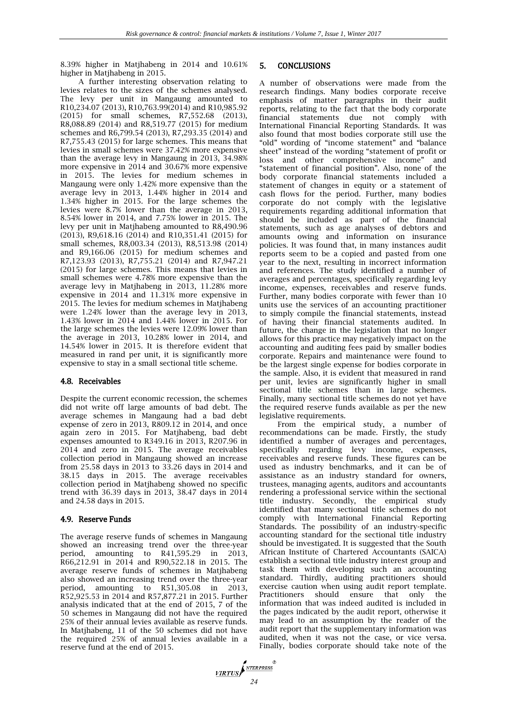8.39% higher in Matjhabeng in 2014 and 10.61% higher in Matjhabeng in 2015.

A further interesting observation relating to levies relates to the sizes of the schemes analysed. The levy per unit in Mangaung amounted to R10,234.07 (2013), R10,763.99(2014) and R10,985.92 (2015) for small schemes, R7,552.68 (2013), R8,088.89 (2014) and R8,519.77 (2015) for medium schemes and R6,799.54 (2013), R7,293.35 (2014) and R7,755.43 (2015) for large schemes. This means that levies in small schemes were 37.42% more expensive than the average levy in Mangaung in 2013, 34.98% more expensive in 2014 and 30.67% more expensive in 2015. The levies for medium schemes in Mangaung were only 1.42% more expensive than the average levy in 2013, 1.44% higher in 2014 and 1.34% higher in 2015. For the large schemes the levies were 8.7% lower than the average in 2013, 8.54% lower in 2014, and 7.75% lower in 2015. The levy per unit in Matjhabeng amounted to R8,490.96 (2013), R9,618.16 (2014) and R10,351.41 (2015) for small schemes, R8,003.34 (2013), R8,513.98 (2014) and R9,166.06 (2015) for medium schemes and R7,123.93 (2013), R7,755.21 (2014) and R7,947.21 (2015) for large schemes. This means that levies in small schemes were 4.78% more expensive than the average levy in Matjhabeng in 2013, 11.28% more expensive in 2014 and 11.31% more expensive in 2015. The levies for medium schemes in Matjhabeng were 1.24% lower than the average levy in 2013, 1.43% lower in 2014 and 1.44% lower in 2015. For the large schemes the levies were 12.09% lower than the average in 2013, 10.28% lower in 2014, and 14.54% lower in 2015. It is therefore evident that measured in rand per unit, it is significantly more expensive to stay in a small sectional title scheme.

#### 4.8. Receivables

Despite the current economic recession, the schemes did not write off large amounts of bad debt. The average schemes in Mangaung had a bad debt expense of zero in 2013, R809.12 in 2014, and once again zero in 2015. For Matjhabeng, bad debt expenses amounted to R349.16 in 2013, R207.96 in 2014 and zero in 2015. The average receivables collection period in Mangaung showed an increase from 25.58 days in 2013 to 33.26 days in 2014 and 38.15 days in 2015. The average receivables collection period in Matjhabeng showed no specific trend with 36.39 days in 2013, 38.47 days in 2014 and 24.58 days in 2015.

#### 4.9. Reserve Funds

The average reserve funds of schemes in Mangaung showed an increasing trend over the three-year period, amounting to R41,595.29 in 2013, R66,212.91 in 2014 and R90,522.18 in 2015. The average reserve funds of schemes in Matjhabeng also showed an increasing trend over the three-year period, amounting to R51,305.08 in 2013, R52,925.53 in 2014 and R57,877.21 in 2015. Further analysis indicated that at the end of 2015, 7 of the 50 schemes in Mangaung did not have the required 25% of their annual levies available as reserve funds. In Matjhabeng, 11 of the 50 schemes did not have the required 25% of annual levies available in a reserve fund at the end of 2015.

#### 5. CONCLUSIONS

A number of observations were made from the research findings. Many bodies corporate receive emphasis of matter paragraphs in their audit reports, relating to the fact that the body corporate financial statements due not comply with International Financial Reporting Standards. It was also found that most bodies corporate still use the "old" wording of "income statement" and "balance sheet" instead of the wording "statement of profit or loss and other comprehensive income" and "statement of financial position". Also, none of the body corporate financial statements included a statement of changes in equity or a statement of cash flows for the period. Further, many bodies corporate do not comply with the legislative requirements regarding additional information that should be included as part of the financial statements, such as age analyses of debtors and amounts owing and information on insurance policies. It was found that, in many instances audit reports seem to be a copied and pasted from one year to the next, resulting in incorrect information and references. The study identified a number of averages and percentages, specifically regarding levy income, expenses, receivables and reserve funds. Further, many bodies corporate with fewer than 10 units use the services of an accounting practitioner to simply compile the financial statements, instead of having their financial statements audited. In future, the change in the legislation that no longer allows for this practice may negatively impact on the accounting and auditing fees paid by smaller bodies corporate. Repairs and maintenance were found to be the largest single expense for bodies corporate in the sample. Also, it is evident that measured in rand per unit, levies are significantly higher in small sectional title schemes than in large schemes. Finally, many sectional title schemes do not yet have the required reserve funds available as per the new legislative requirements.

From the empirical study, a number of recommendations can be made. Firstly, the study identified a number of averages and percentages, specifically regarding levy income, expenses, receivables and reserve funds. These figures can be used as industry benchmarks, and it can be of assistance as an industry standard for owners, trustees, managing agents, auditors and accountants rendering a professional service within the sectional title industry. Secondly, the empirical study identified that many sectional title schemes do not comply with International Financial Reporting Standards. The possibility of an industry-specific accounting standard for the sectional title industry should be investigated. It is suggested that the South African Institute of Chartered Accountants (SAICA) establish a sectional title industry interest group and task them with developing such an accounting standard. Thirdly, auditing practitioners should exercise caution when using audit report template. Practitioners should ensure that only the information that was indeed audited is included in the pages indicated by the audit report, otherwise it may lead to an assumption by the reader of the audit report that the supplementary information was audited, when it was not the case, or vice versa. Finally, bodies corporate should take note of the